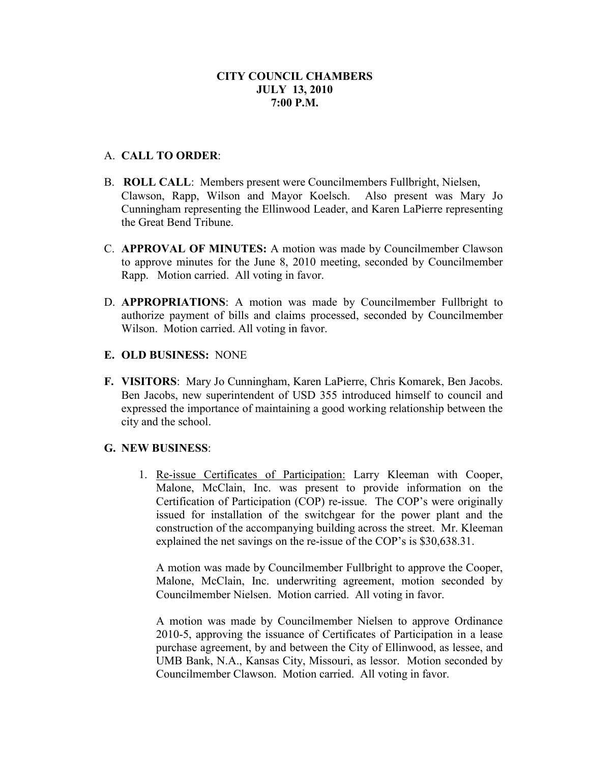#### A. **CALL TO ORDER**:

- B. **ROLL CALL**: Members present were Councilmembers Fullbright, Nielsen, Clawson, Rapp, Wilson and Mayor Koelsch. Also present was Mary Jo Cunningham representing the Ellinwood Leader, and Karen LaPierre representing the Great Bend Tribune.
- C. **APPROVAL OF MINUTES:** A motion was made by Councilmember Clawson to approve minutes for the June 8, 2010 meeting, seconded by Councilmember Rapp. Motion carried. All voting in favor.
- D. **APPROPRIATIONS**: A motion was made by Councilmember Fullbright to authorize payment of bills and claims processed, seconded by Councilmember Wilson. Motion carried. All voting in favor.
- **E. OLD BUSINESS:** NONE
- **F. VISITORS**: Mary Jo Cunningham, Karen LaPierre, Chris Komarek, Ben Jacobs. Ben Jacobs, new superintendent of USD 355 introduced himself to council and expressed the importance of maintaining a good working relationship between the city and the school.

## **G. NEW BUSINESS**:

1. Re-issue Certificates of Participation: Larry Kleeman with Cooper, Malone, McClain, Inc. was present to provide information on the Certification of Participation (COP) re-issue. The COP's were originally issued for installation of the switchgear for the power plant and the construction of the accompanying building across the street. Mr. Kleeman explained the net savings on the re-issue of the COP's is \$30,638.31.

A motion was made by Councilmember Fullbright to approve the Cooper, Malone, McClain, Inc. underwriting agreement, motion seconded by Councilmember Nielsen. Motion carried. All voting in favor.

A motion was made by Councilmember Nielsen to approve Ordinance 2010-5, approving the issuance of Certificates of Participation in a lease purchase agreement, by and between the City of Ellinwood, as lessee, and UMB Bank, N.A., Kansas City, Missouri, as lessor. Motion seconded by Councilmember Clawson. Motion carried. All voting in favor.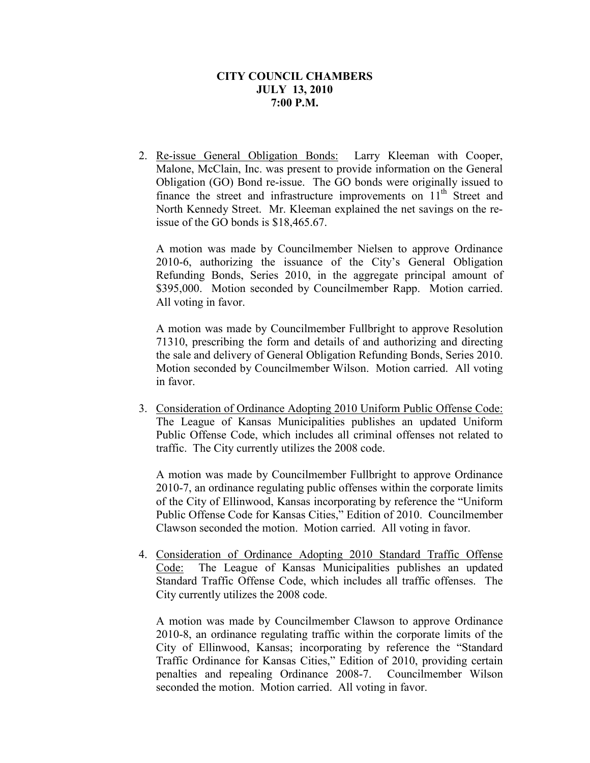2. Re-issue General Obligation Bonds: Larry Kleeman with Cooper, Malone, McClain, Inc. was present to provide information on the General Obligation (GO) Bond re-issue. The GO bonds were originally issued to finance the street and infrastructure improvements on  $11<sup>th</sup>$  Street and North Kennedy Street. Mr. Kleeman explained the net savings on the reissue of the GO bonds is \$18,465.67.

A motion was made by Councilmember Nielsen to approve Ordinance 2010-6, authorizing the issuance of the City's General Obligation Refunding Bonds, Series 2010, in the aggregate principal amount of \$395,000. Motion seconded by Councilmember Rapp. Motion carried. All voting in favor.

A motion was made by Councilmember Fullbright to approve Resolution 71310, prescribing the form and details of and authorizing and directing the sale and delivery of General Obligation Refunding Bonds, Series 2010. Motion seconded by Councilmember Wilson. Motion carried. All voting in favor.

3. Consideration of Ordinance Adopting 2010 Uniform Public Offense Code: The League of Kansas Municipalities publishes an updated Uniform Public Offense Code, which includes all criminal offenses not related to traffic. The City currently utilizes the 2008 code.

A motion was made by Councilmember Fullbright to approve Ordinance 2010-7, an ordinance regulating public offenses within the corporate limits of the City of Ellinwood, Kansas incorporating by reference the "Uniform Public Offense Code for Kansas Cities," Edition of 2010. Councilmember Clawson seconded the motion. Motion carried. All voting in favor.

4. Consideration of Ordinance Adopting 2010 Standard Traffic Offense Code: The League of Kansas Municipalities publishes an updated Standard Traffic Offense Code, which includes all traffic offenses. The City currently utilizes the 2008 code.

A motion was made by Councilmember Clawson to approve Ordinance 2010-8, an ordinance regulating traffic within the corporate limits of the City of Ellinwood, Kansas; incorporating by reference the "Standard Traffic Ordinance for Kansas Cities," Edition of 2010, providing certain penalties and repealing Ordinance 2008-7. Councilmember Wilson seconded the motion. Motion carried. All voting in favor.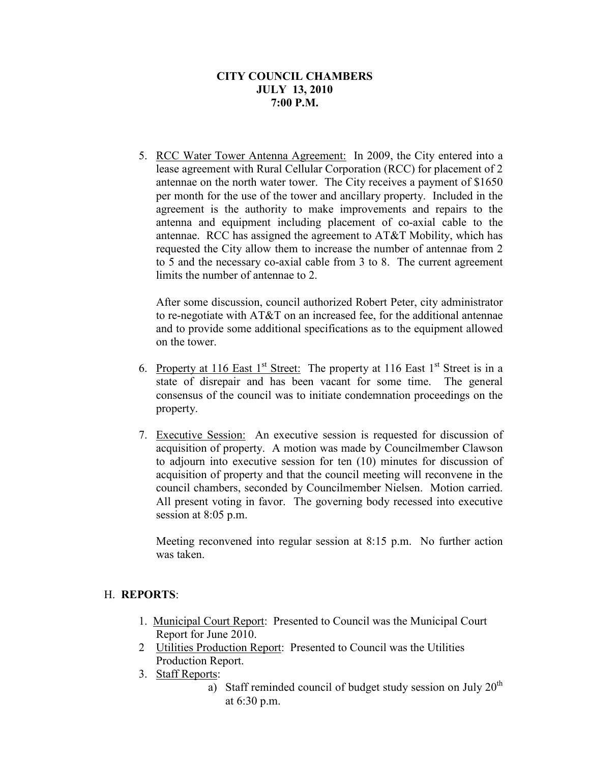5. RCC Water Tower Antenna Agreement: In 2009, the City entered into a lease agreement with Rural Cellular Corporation (RCC) for placement of 2 antennae on the north water tower. The City receives a payment of \$1650 per month for the use of the tower and ancillary property. Included in the agreement is the authority to make improvements and repairs to the antenna and equipment including placement of co-axial cable to the antennae. RCC has assigned the agreement to AT&T Mobility, which has requested the City allow them to increase the number of antennae from 2 to 5 and the necessary co-axial cable from 3 to 8. The current agreement limits the number of antennae to 2.

After some discussion, council authorized Robert Peter, city administrator to re-negotiate with AT&T on an increased fee, for the additional antennae and to provide some additional specifications as to the equipment allowed on the tower.

- 6. Property at 116 East  $1^{st}$  Street: The property at 116 East  $1^{st}$  Street is in a state of disrepair and has been vacant for some time. The general consensus of the council was to initiate condemnation proceedings on the property.
- 7. Executive Session: An executive session is requested for discussion of acquisition of property. A motion was made by Councilmember Clawson to adjourn into executive session for ten (10) minutes for discussion of acquisition of property and that the council meeting will reconvene in the council chambers, seconded by Councilmember Nielsen. Motion carried. All present voting in favor. The governing body recessed into executive session at 8:05 p.m.

Meeting reconvened into regular session at 8:15 p.m. No further action was taken.

## H. **REPORTS**:

- 1. Municipal Court Report: Presented to Council was the Municipal Court Report for June 2010.
- 2 Utilities Production Report: Presented to Council was the Utilities Production Report.
- 3. Staff Reports:
	- a) Staff reminded council of budget study session on July  $20<sup>th</sup>$ at 6:30 p.m.